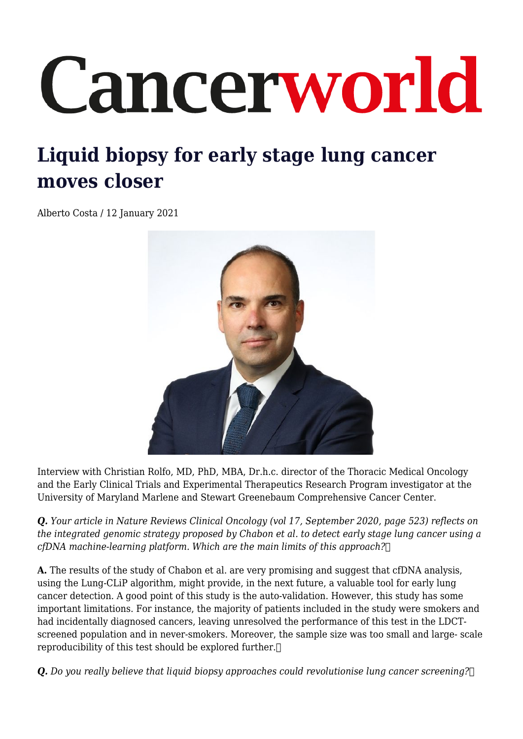## Cancerworld

## **Liquid biopsy for early stage lung cancer moves closer**

Alberto Costa / 12 January 2021



Interview with Christian Rolfo, MD, PhD, MBA, Dr.h.c. director of the Thoracic Medical Oncology and the Early Clinical Trials and Experimental Therapeutics Research Program investigator at the University of Maryland Marlene and Stewart Greenebaum Comprehensive Cancer Center.

*Q. Your article in Nature Reviews Clinical Oncology (vol 17, September 2020, page 523) reflects on the integrated genomic strategy proposed by Chabon et al. to detect early stage lung cancer using a cfDNA machine-learning platform. Which are the main limits of this approach?* 

**A.** The results of the study of Chabon et al. are very promising and suggest that cfDNA analysis, using the Lung-CLiP algorithm, might provide, in the next future, a valuable tool for early lung cancer detection. A good point of this study is the auto-validation. However, this study has some important limitations. For instance, the majority of patients included in the study were smokers and had incidentally diagnosed cancers, leaving unresolved the performance of this test in the LDCTscreened population and in never-smokers. Moreover, the sample size was too small and large- scale reproducibility of this test should be explored further.

*Q. Do you really believe that liquid biopsy approaches could revolutionise lung cancer screening?*